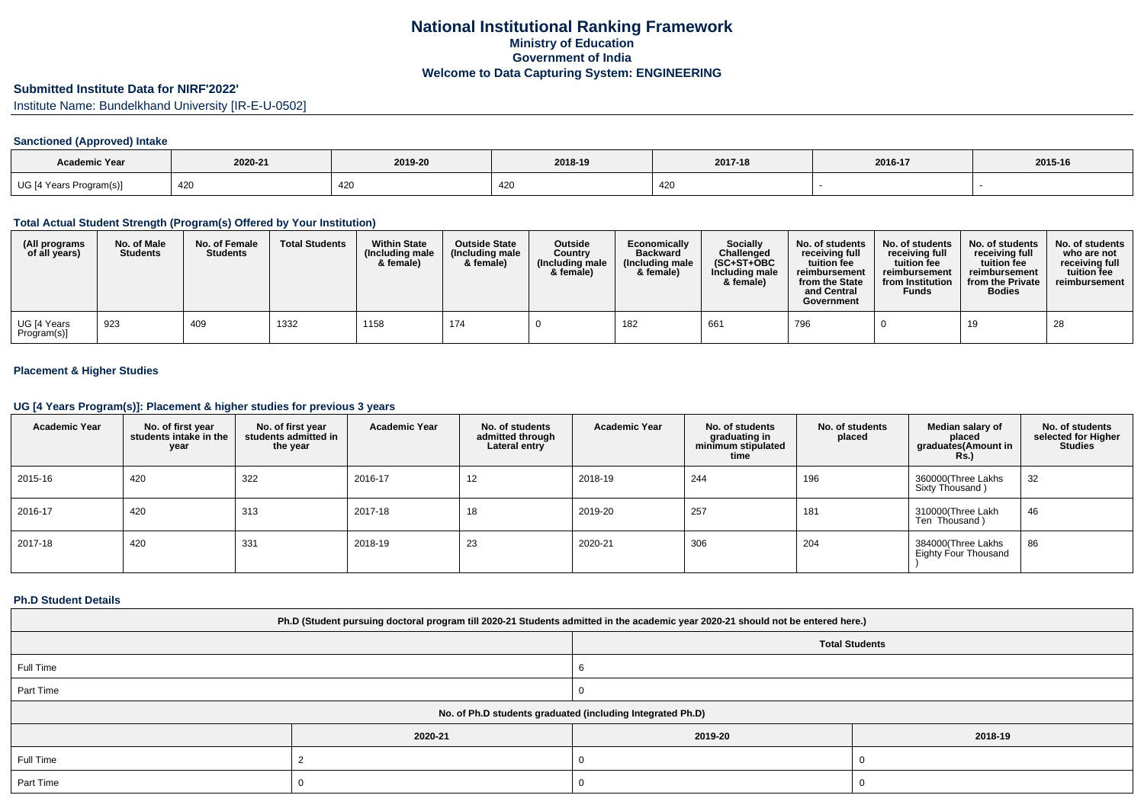# **Submitted Institute Data for NIRF'2022'**

Institute Name: Bundelkhand University [IR-E-U-0502]

### **Sanctioned (Approved) Intake**

| <b>Academic Year</b>    | 2020-21 | 2019-20 | 2018-19   | 2017-18 | 2016-17 | 2015-16 |
|-------------------------|---------|---------|-----------|---------|---------|---------|
| UG [4 Years Program(s)] | 420     | 42U     | -471<br>. | 420     |         |         |

#### **Total Actual Student Strength (Program(s) Offered by Your Institution)**

| (All programs<br>of all years) | No. of Male<br><b>Students</b> | No. of Female<br><b>Students</b> | <b>Total Students</b> | <b>Within State</b><br>(Including male<br>& female) | <b>Outside State</b><br>(Including male<br>& female) | <b>Outside</b><br>Country<br>(Including male<br>& female) | Economically<br><b>Backward</b><br>(Including male<br>& female) | Socially<br>Challenged<br>$(SC+ST+OBC$<br>Including male<br>& female) | No. of students<br>receiving full<br>tuition fee<br>reimbursement<br>from the State<br>and Central<br>Government | No. of students<br>receiving full<br>tuition fee<br>reimbursement<br>from Institution<br><b>Funds</b> | No. of students<br>receiving full<br>tuition fee<br>reimbursement<br>from the Private<br><b>Bodies</b> | No. of students<br>who are not<br>receiving full<br>tuition fee<br>reimbursement |
|--------------------------------|--------------------------------|----------------------------------|-----------------------|-----------------------------------------------------|------------------------------------------------------|-----------------------------------------------------------|-----------------------------------------------------------------|-----------------------------------------------------------------------|------------------------------------------------------------------------------------------------------------------|-------------------------------------------------------------------------------------------------------|--------------------------------------------------------------------------------------------------------|----------------------------------------------------------------------------------|
| UG [4 Years<br>Program(s)]     | 923                            | 409                              | 1332                  | 1158                                                | 174                                                  |                                                           | 182                                                             | 661                                                                   | 796                                                                                                              |                                                                                                       | 19                                                                                                     | 28                                                                               |

### **Placement & Higher Studies**

#### **UG [4 Years Program(s)]: Placement & higher studies for previous 3 years**

| <b>Academic Year</b> | No. of first year<br>students intake in the<br>year | No. of first year<br>students admitted in<br>the year | <b>Academic Year</b> | No. of students<br>admitted through<br>Lateral entry | <b>Academic Year</b> | No. of students<br>graduating in<br>minimum stipulated<br>time | No. of students<br>placed | Median salary of<br>placed<br>graduates(Amount in<br><b>Rs.)</b> | No. of students<br>selected for Higher<br><b>Studies</b> |
|----------------------|-----------------------------------------------------|-------------------------------------------------------|----------------------|------------------------------------------------------|----------------------|----------------------------------------------------------------|---------------------------|------------------------------------------------------------------|----------------------------------------------------------|
| 2015-16              | 420                                                 | 322                                                   | 2016-17              | 12                                                   | 2018-19              | 244                                                            | 196                       | 360000(Three Lakhs<br>Sixty Thousand)                            | 32                                                       |
| 2016-17              | 420                                                 | 313                                                   | 2017-18              | 18                                                   | 2019-20              | 257                                                            | 181                       | 310000(Three Lakh<br>Ten Thousand)                               | 46                                                       |
| 2017-18              | 420                                                 | 331                                                   | 2018-19              | 23                                                   | 2020-21              | 306                                                            | 204                       | 384000(Three Lakhs<br><b>Eighty Four Thousand</b>                | 86                                                       |

#### **Ph.D Student Details**

| Ph.D (Student pursuing doctoral program till 2020-21 Students admitted in the academic year 2020-21 should not be entered here.) |                                                            |                       |         |  |  |  |  |  |
|----------------------------------------------------------------------------------------------------------------------------------|------------------------------------------------------------|-----------------------|---------|--|--|--|--|--|
|                                                                                                                                  |                                                            | <b>Total Students</b> |         |  |  |  |  |  |
| Full Time                                                                                                                        |                                                            |                       |         |  |  |  |  |  |
| Part Time                                                                                                                        |                                                            |                       |         |  |  |  |  |  |
|                                                                                                                                  | No. of Ph.D students graduated (including Integrated Ph.D) |                       |         |  |  |  |  |  |
|                                                                                                                                  | 2020-21                                                    | 2019-20               | 2018-19 |  |  |  |  |  |
| Full Time                                                                                                                        |                                                            |                       |         |  |  |  |  |  |
| Part Time                                                                                                                        |                                                            |                       |         |  |  |  |  |  |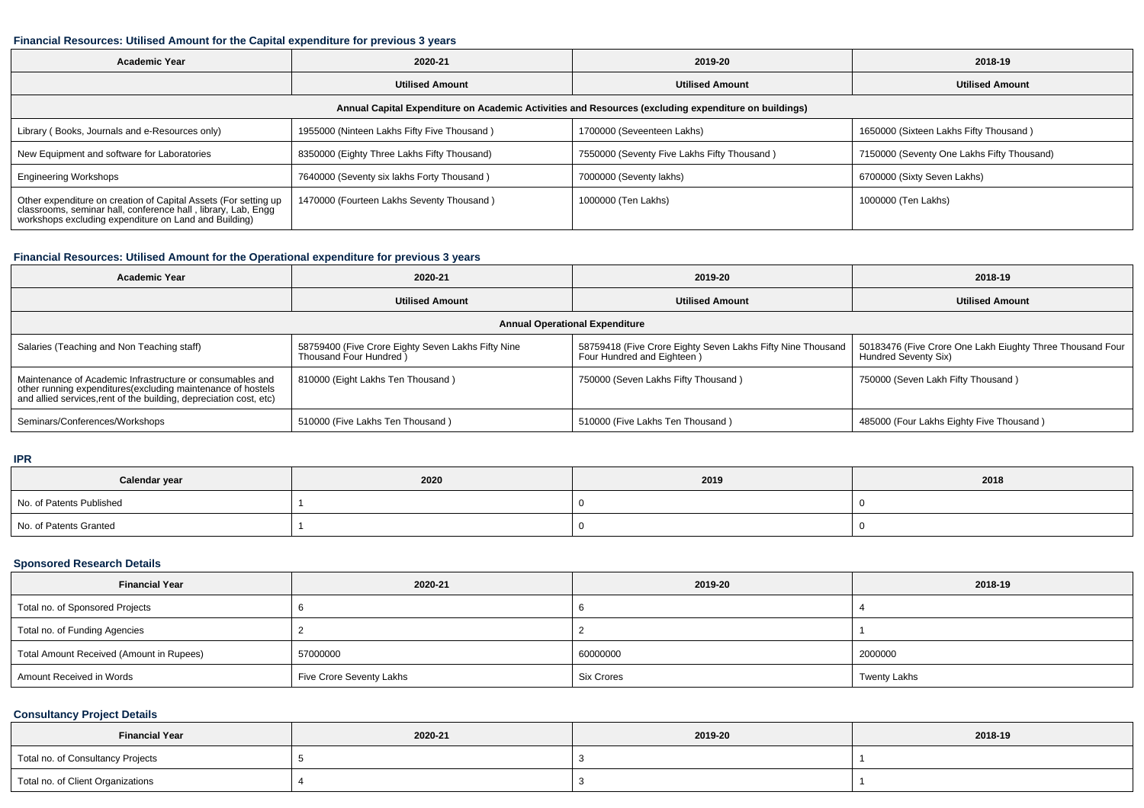#### **Financial Resources: Utilised Amount for the Capital expenditure for previous 3 years**

| <b>Academic Year</b>                                                                                                                                                                      | 2020-21                                     | 2019-20                                     | 2018-19                                    |  |  |  |  |  |
|-------------------------------------------------------------------------------------------------------------------------------------------------------------------------------------------|---------------------------------------------|---------------------------------------------|--------------------------------------------|--|--|--|--|--|
|                                                                                                                                                                                           | <b>Utilised Amount</b>                      | <b>Utilised Amount</b>                      | <b>Utilised Amount</b>                     |  |  |  |  |  |
| Annual Capital Expenditure on Academic Activities and Resources (excluding expenditure on buildings)                                                                                      |                                             |                                             |                                            |  |  |  |  |  |
| Library (Books, Journals and e-Resources only)                                                                                                                                            | 1955000 (Ninteen Lakhs Fifty Five Thousand) | 1700000 (Seveenteen Lakhs)                  | 1650000 (Sixteen Lakhs Fifty Thousand)     |  |  |  |  |  |
| New Equipment and software for Laboratories                                                                                                                                               | 8350000 (Eighty Three Lakhs Fifty Thousand) | 7550000 (Seventy Five Lakhs Fifty Thousand) | 7150000 (Seventy One Lakhs Fifty Thousand) |  |  |  |  |  |
| <b>Engineering Workshops</b>                                                                                                                                                              | 7640000 (Seventy six lakhs Forty Thousand)  | 7000000 (Seventy lakhs)                     | 6700000 (Sixty Seven Lakhs)                |  |  |  |  |  |
| Other expenditure on creation of Capital Assets (For setting up<br>classrooms, seminar hall, conference hall, library, Lab, Engg<br>workshops excluding expenditure on Land and Building) | 1470000 (Fourteen Lakhs Seventy Thousand)   | 1000000 (Ten Lakhs)                         | 1000000 (Ten Lakhs)                        |  |  |  |  |  |

### **Financial Resources: Utilised Amount for the Operational expenditure for previous 3 years**

| <b>Academic Year</b>                                                                                                                                                                           | 2020-21                                                                       | 2019-20                                                                                   | 2018-19                                                                           |  |  |  |  |  |
|------------------------------------------------------------------------------------------------------------------------------------------------------------------------------------------------|-------------------------------------------------------------------------------|-------------------------------------------------------------------------------------------|-----------------------------------------------------------------------------------|--|--|--|--|--|
|                                                                                                                                                                                                | <b>Utilised Amount</b>                                                        | <b>Utilised Amount</b>                                                                    | <b>Utilised Amount</b>                                                            |  |  |  |  |  |
| <b>Annual Operational Expenditure</b>                                                                                                                                                          |                                                                               |                                                                                           |                                                                                   |  |  |  |  |  |
| Salaries (Teaching and Non Teaching staff)                                                                                                                                                     | 58759400 (Five Crore Eighty Seven Lakhs Fifty Nine<br>Thousand Four Hundred ) | 58759418 (Five Crore Eighty Seven Lakhs Fifty Nine Thousand<br>Four Hundred and Eighteen) | 50183476 (Five Crore One Lakh Eiughty Three Thousand Four<br>Hundred Seventy Six) |  |  |  |  |  |
| Maintenance of Academic Infrastructure or consumables and<br>other running expenditures(excluding maintenance of hostels<br>and allied services, rent of the building, depreciation cost, etc) | 810000 (Eight Lakhs Ten Thousand)                                             | 750000 (Seven Lakhs Fifty Thousand)                                                       | 750000 (Seven Lakh Fifty Thousand)                                                |  |  |  |  |  |
| Seminars/Conferences/Workshops                                                                                                                                                                 | 510000 (Five Lakhs Ten Thousand)                                              | 510000 (Five Lakhs Ten Thousand)                                                          | 485000 (Four Lakhs Eighty Five Thousand)                                          |  |  |  |  |  |

**IPR**

| Calendar year            | 2020 | 2019 | 2018 |
|--------------------------|------|------|------|
| No. of Patents Published |      |      |      |
| No. of Patents Granted   |      |      |      |

## **Sponsored Research Details**

| <b>Financial Year</b>                    | 2020-21                  | 2019-20    | 2018-19             |
|------------------------------------------|--------------------------|------------|---------------------|
| Total no. of Sponsored Projects          |                          |            |                     |
| Total no. of Funding Agencies            |                          |            |                     |
| Total Amount Received (Amount in Rupees) | 57000000                 | 60000000   | 2000000             |
| Amount Received in Words                 | Five Crore Seventy Lakhs | Six Crores | <b>Twenty Lakhs</b> |

### **Consultancy Project Details**

| <b>Financial Year</b>             | 2020-21 | 2019-20 | 2018-19 |
|-----------------------------------|---------|---------|---------|
| Total no. of Consultancy Projects |         |         |         |
| Total no. of Client Organizations |         |         |         |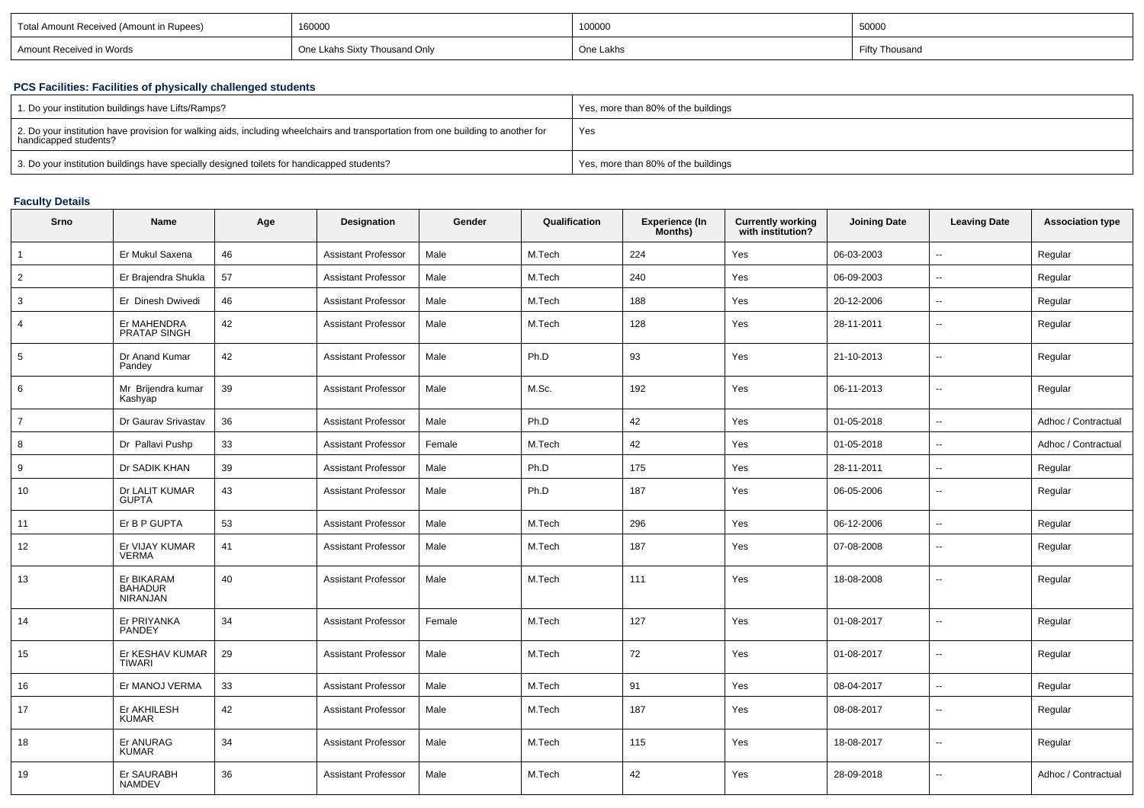| Total Amount Received (Amount in Rupees) | 160000                      | 100000    | 5000<br><b>JUUUU</b> |
|------------------------------------------|-----------------------------|-----------|----------------------|
| Amount Received in Words                 | Lkahs Sixty Thousand Only ؛ | One Lakhs | <sup>,</sup> Thousan |
|                                          |                             |           |                      |

### **PCS Facilities: Facilities of physically challenged students**

| 1. Do your institution buildings have Lifts/Ramps?                                                                                                         | Yes, more than 80% of the buildings |
|------------------------------------------------------------------------------------------------------------------------------------------------------------|-------------------------------------|
| 2. Do your institution have provision for walking aids, including wheelchairs and transportation from one building to another for<br>handicapped students? | Yes                                 |
| 3. Do your institution buildings have specially designed toilets for handicapped students?                                                                 | Yes, more than 80% of the buildings |

## **Faculty Details**

| Srno           | <b>Name</b>                              | Age | Designation                | Gender | Qualification | <b>Experience (In</b><br>Months) | <b>Currently working</b><br>with institution? | <b>Joining Date</b> | <b>Leaving Date</b>      | <b>Association type</b> |
|----------------|------------------------------------------|-----|----------------------------|--------|---------------|----------------------------------|-----------------------------------------------|---------------------|--------------------------|-------------------------|
| 1              | Er Mukul Saxena                          | 46  | <b>Assistant Professor</b> | Male   | M.Tech        | 224                              | Yes                                           | 06-03-2003          | $\mathbf{u}$             | Regular                 |
| $\overline{2}$ | Er Brajendra Shukla                      | 57  | <b>Assistant Professor</b> | Male   | M.Tech        | 240                              | Yes                                           | 06-09-2003          | $\sim$                   | Regular                 |
| 3              | Er Dinesh Dwivedi                        | 46  | Assistant Professor        | Male   | M.Tech        | 188                              | Yes                                           | 20-12-2006          | $\mathbf{u}$             | Regular                 |
| $\overline{4}$ | Er MAHENDRA<br>PRATAP SINGH              | 42  | <b>Assistant Professor</b> | Male   | M.Tech        | 128                              | Yes                                           | 28-11-2011          | $\sim$                   | Regular                 |
| 5              | Dr Anand Kumar<br>Pandey                 | 42  | <b>Assistant Professor</b> | Male   | Ph.D          | 93                               | Yes                                           | 21-10-2013          | $\sim$                   | Regular                 |
| 6              | Mr Brijendra kumar<br>Kashyap            | 39  | <b>Assistant Professor</b> | Male   | M.Sc.         | 192                              | Yes                                           | 06-11-2013          | $\sim$                   | Regular                 |
| $\overline{7}$ | Dr Gaurav Srivastav                      | 36  | Assistant Professor        | Male   | Ph.D          | 42                               | Yes                                           | 01-05-2018          | $\overline{\phantom{a}}$ | Adhoc / Contractual     |
| 8              | Dr Pallavi Pushp                         | 33  | <b>Assistant Professor</b> | Female | M.Tech        | 42                               | Yes                                           | 01-05-2018          | $\mathbf{u}$             | Adhoc / Contractual     |
| 9              | Dr SADIK KHAN                            | 39  | <b>Assistant Professor</b> | Male   | Ph.D          | 175                              | Yes                                           | 28-11-2011          | $\overline{\phantom{a}}$ | Regular                 |
| 10             | Dr LALIT KUMAR<br><b>GUPTA</b>           | 43  | <b>Assistant Professor</b> | Male   | Ph.D          | 187                              | Yes                                           | 06-05-2006          | $\overline{a}$           | Regular                 |
| 11             | Er B P GUPTA                             | 53  | <b>Assistant Professor</b> | Male   | M.Tech        | 296                              | Yes                                           | 06-12-2006          | $\overline{\phantom{a}}$ | Regular                 |
| 12             | Er VIJAY KUMAR<br><b>VERMA</b>           | 41  | Assistant Professor        | Male   | M.Tech        | 187                              | Yes                                           | 07-08-2008          | $\mathbf{u}$             | Regular                 |
| 13             | Er BIKARAM<br><b>BAHADUR</b><br>NIRANJAN | 40  | <b>Assistant Professor</b> | Male   | M.Tech        | 111                              | Yes                                           | 18-08-2008          | $\sim$                   | Regular                 |
| 14             | Er PRIYANKA<br><b>PANDEY</b>             | 34  | <b>Assistant Professor</b> | Female | M.Tech        | 127                              | Yes                                           | 01-08-2017          | $\sim$                   | Regular                 |
| 15             | Er KESHAV KUMAR<br><b>TIWARI</b>         | 29  | <b>Assistant Professor</b> | Male   | M.Tech        | 72                               | Yes                                           | 01-08-2017          | $\sim$                   | Regular                 |
| 16             | Er MANOJ VERMA                           | 33  | Assistant Professor        | Male   | M.Tech        | 91                               | Yes                                           | 08-04-2017          | $\overline{\phantom{a}}$ | Regular                 |
| 17             | Er AKHILESH<br><b>KUMAR</b>              | 42  | <b>Assistant Professor</b> | Male   | M.Tech        | 187                              | Yes                                           | 08-08-2017          | $\sim$                   | Regular                 |
| 18             | Er ANURAG<br><b>KUMAR</b>                | 34  | <b>Assistant Professor</b> | Male   | M.Tech        | 115                              | Yes                                           | 18-08-2017          | $\sim$                   | Regular                 |
| 19             | Er SAURABH<br><b>NAMDEV</b>              | 36  | <b>Assistant Professor</b> | Male   | M.Tech        | 42                               | Yes                                           | 28-09-2018          | $\sim$                   | Adhoc / Contractual     |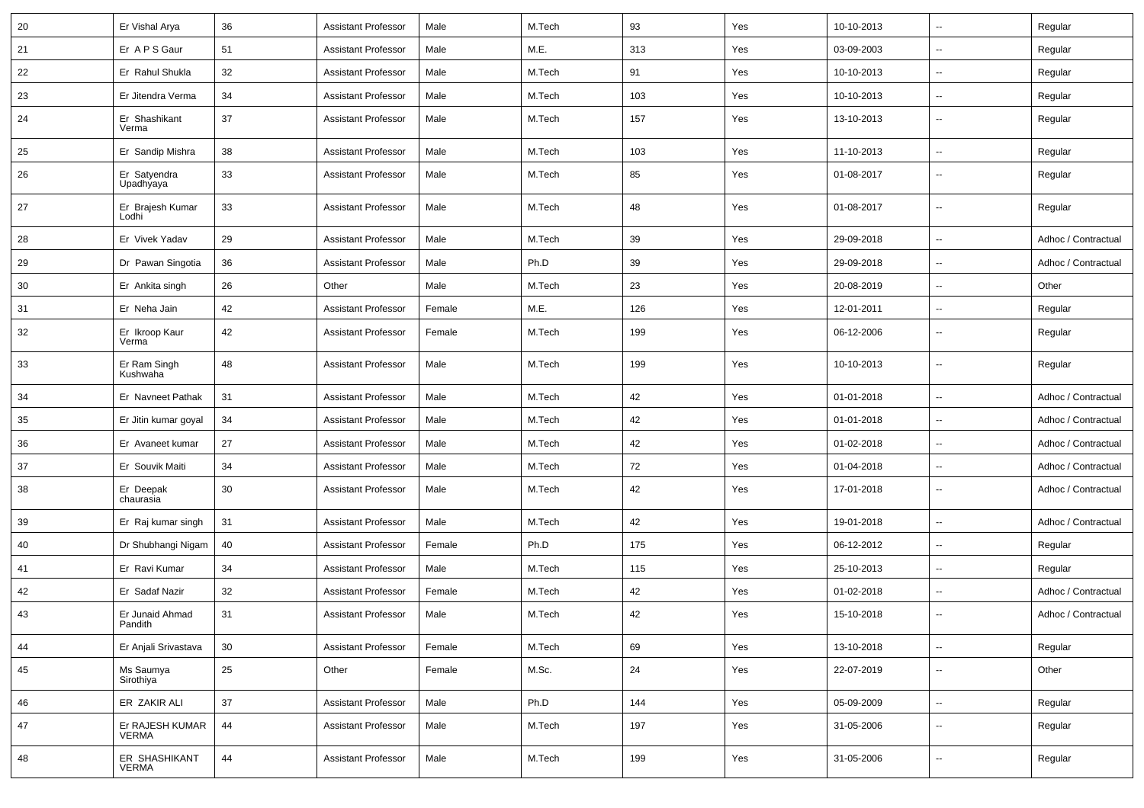| 20 | Er Vishal Arya                  | 36     | <b>Assistant Professor</b> | Male   | M.Tech | 93  | Yes | 10-10-2013 | --                       | Regular             |
|----|---------------------------------|--------|----------------------------|--------|--------|-----|-----|------------|--------------------------|---------------------|
| 21 | Er A P S Gaur                   | 51     | <b>Assistant Professor</b> | Male   | M.E.   | 313 | Yes | 03-09-2003 | $\overline{\phantom{a}}$ | Regular             |
| 22 | Er Rahul Shukla                 | 32     | <b>Assistant Professor</b> | Male   | M.Tech | 91  | Yes | 10-10-2013 | $\overline{\phantom{a}}$ | Regular             |
| 23 | Er Jitendra Verma               | 34     | <b>Assistant Professor</b> | Male   | M.Tech | 103 | Yes | 10-10-2013 | --                       | Regular             |
| 24 | Er Shashikant<br>Verma          | 37     | <b>Assistant Professor</b> | Male   | M.Tech | 157 | Yes | 13-10-2013 | $\overline{\phantom{a}}$ | Regular             |
| 25 | Er Sandip Mishra                | 38     | <b>Assistant Professor</b> | Male   | M.Tech | 103 | Yes | 11-10-2013 | Ξ.                       | Regular             |
| 26 | Er Satyendra<br>Upadhyaya       | 33     | <b>Assistant Professor</b> | Male   | M.Tech | 85  | Yes | 01-08-2017 | $\overline{\phantom{a}}$ | Regular             |
| 27 | Er Brajesh Kumar<br>Lodhi       | 33     | <b>Assistant Professor</b> | Male   | M.Tech | 48  | Yes | 01-08-2017 | $\overline{\phantom{a}}$ | Regular             |
| 28 | Er Vivek Yadav                  | 29     | <b>Assistant Professor</b> | Male   | M.Tech | 39  | Yes | 29-09-2018 | u.                       | Adhoc / Contractual |
| 29 | Dr Pawan Singotia               | 36     | <b>Assistant Professor</b> | Male   | Ph.D   | 39  | Yes | 29-09-2018 | --                       | Adhoc / Contractual |
| 30 | Er Ankita singh                 | 26     | Other                      | Male   | M.Tech | 23  | Yes | 20-08-2019 | --                       | Other               |
| 31 | Er Neha Jain                    | 42     | <b>Assistant Professor</b> | Female | M.E.   | 126 | Yes | 12-01-2011 | $\overline{\phantom{a}}$ | Regular             |
| 32 | Er Ikroop Kaur<br>Verma         | 42     | <b>Assistant Professor</b> | Female | M.Tech | 199 | Yes | 06-12-2006 | --                       | Regular             |
| 33 | Er Ram Singh<br>Kushwaha        | 48     | <b>Assistant Professor</b> | Male   | M.Tech | 199 | Yes | 10-10-2013 | --                       | Regular             |
| 34 | Er Navneet Pathak               | 31     | <b>Assistant Professor</b> | Male   | M.Tech | 42  | Yes | 01-01-2018 | --                       | Adhoc / Contractual |
| 35 | Er Jitin kumar goyal            | 34     | <b>Assistant Professor</b> | Male   | M.Tech | 42  | Yes | 01-01-2018 | --                       | Adhoc / Contractual |
| 36 | Er Avaneet kumar                | 27     | <b>Assistant Professor</b> | Male   | M.Tech | 42  | Yes | 01-02-2018 | u.                       | Adhoc / Contractual |
| 37 | Er Souvik Maiti                 | 34     | <b>Assistant Professor</b> | Male   | M.Tech | 72  | Yes | 01-04-2018 | --                       | Adhoc / Contractual |
| 38 | Er Deepak<br>chaurasia          | 30     | <b>Assistant Professor</b> | Male   | M.Tech | 42  | Yes | 17-01-2018 | $\overline{\phantom{a}}$ | Adhoc / Contractual |
| 39 | Er Raj kumar singh              | 31     | <b>Assistant Professor</b> | Male   | M.Tech | 42  | Yes | 19-01-2018 | Ξ.                       | Adhoc / Contractual |
| 40 | Dr Shubhangi Nigam              | 40     | <b>Assistant Professor</b> | Female | Ph.D   | 175 | Yes | 06-12-2012 | $\overline{a}$           | Regular             |
| 41 | Er Ravi Kumar                   | 34     | <b>Assistant Professor</b> | Male   | M.Tech | 115 | Yes | 25-10-2013 | ۰.                       | Regular             |
| 42 | Er Sadaf Nazir                  | 32     | <b>Assistant Professor</b> | Female | M.Tech | 42  | Yes | 01-02-2018 | $\overline{a}$           | Adhoc / Contractual |
| 43 | Er Junaid Ahmad<br>randıth      | 31     | <b>Assistant Professor</b> | Male   | M.Tech | 42  | Yes | 15-10-2018 | $\overline{a}$           | Adhoc / Contractual |
| 44 | Er Anjali Srivastava            | 30     | <b>Assistant Professor</b> | Female | M.Tech | 69  | Yes | 13-10-2018 | ÷.                       | Regular             |
| 45 | Ms Saumya<br>Sirothiya          | 25     | Other                      | Female | M.Sc.  | 24  | Yes | 22-07-2019 | Ξ.                       | Other               |
| 46 | ER ZAKIR ALI                    | $37\,$ | <b>Assistant Professor</b> | Male   | Ph.D   | 144 | Yes | 05-09-2009 | $\sim$                   | Regular             |
| 47 | Er RAJESH KUMAR<br><b>VERMA</b> | 44     | <b>Assistant Professor</b> | Male   | M.Tech | 197 | Yes | 31-05-2006 | Ξ.                       | Regular             |
| 48 | ER SHASHIKANT<br><b>VERMA</b>   | 44     | <b>Assistant Professor</b> | Male   | M.Tech | 199 | Yes | 31-05-2006 | --                       | Regular             |